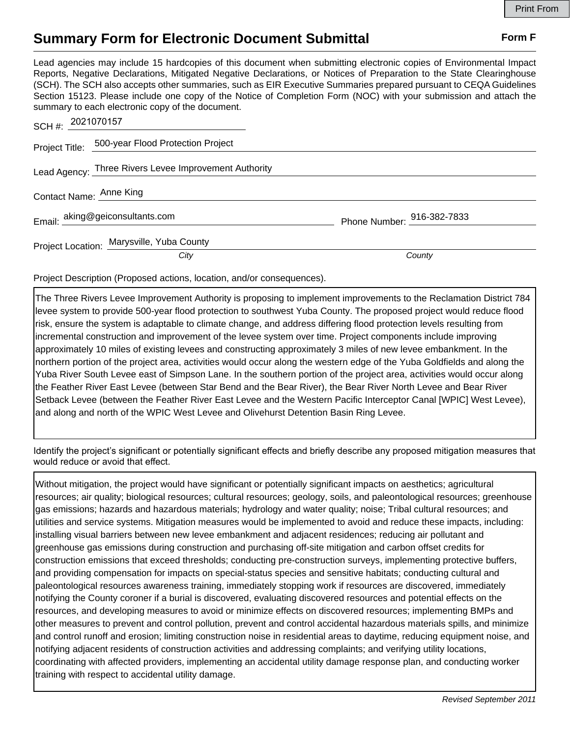## **Summary Form for Electronic Document Submittal Form F Form F**

Lead agencies may include 15 hardcopies of this document when submitting electronic copies of Environmental Impact Reports, Negative Declarations, Mitigated Negative Declarations, or Notices of Preparation to the State Clearinghouse (SCH). The SCH also accepts other summaries, such as EIR Executive Summaries prepared pursuant to CEQA Guidelines Section 15123. Please include one copy of the Notice of Completion Form (NOC) with your submission and attach the summary to each electronic copy of the document.

|                                           | SCH #: 2021070157                                     |                            |
|-------------------------------------------|-------------------------------------------------------|----------------------------|
|                                           | Project Title: 500-year Flood Protection Project      |                            |
|                                           | Lead Agency: Three Rivers Levee Improvement Authority |                            |
| Contact Name: Anne King                   |                                                       |                            |
|                                           | Email: aking@geiconsultants.com                       | Phone Number: 916-382-7833 |
| Project Location: Marysville, Yuba County |                                                       |                            |
|                                           | City                                                  | County                     |

Project Description (Proposed actions, location, and/or consequences).

The Three Rivers Levee Improvement Authority is proposing to implement improvements to the Reclamation District 784 levee system to provide 500-year flood protection to southwest Yuba County. The proposed project would reduce flood risk, ensure the system is adaptable to climate change, and address differing flood protection levels resulting from incremental construction and improvement of the levee system over time. Project components include improving approximately 10 miles of existing levees and constructing approximately 3 miles of new levee embankment. In the northern portion of the project area, activities would occur along the western edge of the Yuba Goldfields and along the Yuba River South Levee east of Simpson Lane. In the southern portion of the project area, activities would occur along the Feather River East Levee (between Star Bend and the Bear River), the Bear River North Levee and Bear River Setback Levee (between the Feather River East Levee and the Western Pacific Interceptor Canal [WPIC] West Levee), and along and north of the WPIC West Levee and Olivehurst Detention Basin Ring Levee.

Identify the project's significant or potentially significant effects and briefly describe any proposed mitigation measures that would reduce or avoid that effect.

Without mitigation, the project would have significant or potentially significant impacts on aesthetics; agricultural resources; air quality; biological resources; cultural resources; geology, soils, and paleontological resources; greenhouse gas emissions; hazards and hazardous materials; hydrology and water quality; noise; Tribal cultural resources; and utilities and service systems. Mitigation measures would be implemented to avoid and reduce these impacts, including: installing visual barriers between new levee embankment and adjacent residences; reducing air pollutant and greenhouse gas emissions during construction and purchasing off-site mitigation and carbon offset credits for construction emissions that exceed thresholds; conducting pre-construction surveys, implementing protective buffers, and providing compensation for impacts on special-status species and sensitive habitats; conducting cultural and paleontological resources awareness training, immediately stopping work if resources are discovered, immediately notifying the County coroner if a burial is discovered, evaluating discovered resources and potential effects on the resources, and developing measures to avoid or minimize effects on discovered resources; implementing BMPs and other measures to prevent and control pollution, prevent and control accidental hazardous materials spills, and minimize and control runoff and erosion; limiting construction noise in residential areas to daytime, reducing equipment noise, and notifying adjacent residents of construction activities and addressing complaints; and verifying utility locations, coordinating with affected providers, implementing an accidental utility damage response plan, and conducting worker training with respect to accidental utility damage.